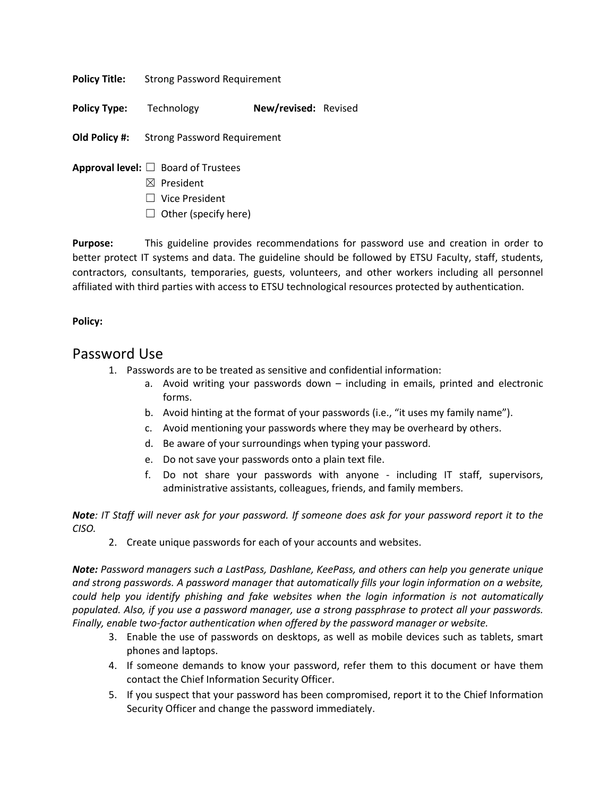**Policy Title:** Strong Password Requirement

**Policy Type:** Technology **New/revised:** Revised

**Old Policy #:** Strong Password Requirement

- **Approval level:** ☐ Board of Trustees
	- ☒ President
	- ☐ Vice President
	- $\Box$  Other (specify here)

**Purpose:** This guideline provides recommendations for password use and creation in order to better protect IT systems and data. The guideline should be followed by ETSU Faculty, staff, students, contractors, consultants, temporaries, guests, volunteers, and other workers including all personnel affiliated with third parties with access to ETSU technological resources protected by authentication.

## **Policy:**

## Password Use

- 1. Passwords are to be treated as sensitive and confidential information:
	- a. Avoid writing your passwords down including in emails, printed and electronic forms.
	- b. Avoid hinting at the format of your passwords (i.e., "it uses my family name").
	- c. Avoid mentioning your passwords where they may be overheard by others.
	- d. Be aware of your surroundings when typing your password.
	- e. Do not save your passwords onto a plain text file.
	- f. Do not share your passwords with anyone including IT staff, supervisors, administrative assistants, colleagues, friends, and family members.

*Note: IT Staff will never ask for your password. If someone does ask for your password report it to the CISO.* 

2. Create unique passwords for each of your accounts and websites.

*Note: Password managers such a LastPass, Dashlane, KeePass, and others can help you generate unique and strong passwords. A password manager that automatically fills your login information on a website, could help you identify phishing and fake websites when the login information is not automatically populated. Also, if you use a password manager, use a strong passphrase to protect all your passwords. Finally, enable two-factor authentication when offered by the password manager or website.* 

- 3. Enable the use of passwords on desktops, as well as mobile devices such as tablets, smart phones and laptops.
- 4. If someone demands to know your password, refer them to this document or have them contact the Chief Information Security Officer.
- 5. If you suspect that your password has been compromised, report it to the Chief Information Security Officer and change the password immediately.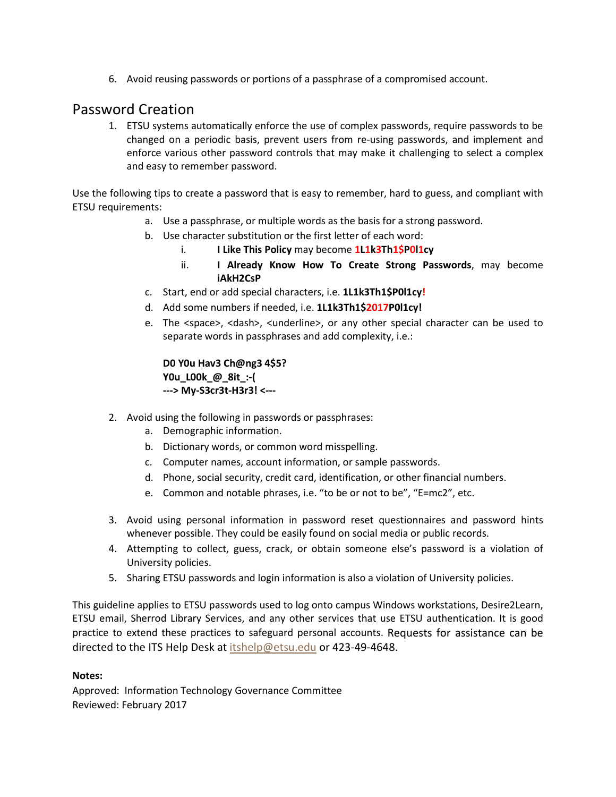6. Avoid reusing passwords or portions of a passphrase of a compromised account.

## Password Creation

1. ETSU systems automatically enforce the use of complex passwords, require passwords to be changed on a periodic basis, prevent users from re-using passwords, and implement and enforce various other password controls that may make it challenging to select a complex and easy to remember password.

Use the following tips to create a password that is easy to remember, hard to guess, and compliant with ETSU requirements:

- a. Use a passphrase, or multiple words as the basis for a strong password.
- b. Use character substitution or the first letter of each word:
	- i. **I Like This Policy** may become **1L1k3Th1\$P0l1cy**
	- ii. **I Already Know How To Create Strong Passwords**, may become **iAkH2CsP**
- c. Start, end or add special characters, i.e. **1L1k3Th1\$P0l1cy!**
- d. Add some numbers if needed, i.e. **1L1k3Th1\$2017P0l1cy!**
- e. The <space>, <dash>, <underline>, or any other special character can be used to separate words in passphrases and add complexity, i.e.:

**D0 Y0u Hav3 Ch@ng3 4\$5? Y0u\_L00k\_@\_8it\_:-( ---> My-S3cr3t-H3r3! <---**

- 2. Avoid using the following in passwords or passphrases:
	- a. Demographic information.
	- b. Dictionary words, or common word misspelling.
	- c. Computer names, account information, or sample passwords.
	- d. Phone, social security, credit card, identification, or other financial numbers.
	- e. Common and notable phrases, i.e. "to be or not to be", "E=mc2", etc.
- 3. Avoid using personal information in password reset questionnaires and password hints whenever possible. They could be easily found on social media or public records.
- 4. Attempting to collect, guess, crack, or obtain someone else's password is a violation of University policies.
- 5. Sharing ETSU passwords and login information is also a violation of University policies.

This guideline applies to ETSU passwords used to log onto campus Windows workstations, Desire2Learn, ETSU email, Sherrod Library Services, and any other services that use ETSU authentication. It is good practice to extend these practices to safeguard personal accounts. Requests for assistance can be directed to the ITS Help Desk at [itshelp@etsu.edu](mailto:itshelp@etsu.edu) or 423-49-4648.

## **Notes:**

Approved: Information Technology Governance Committee Reviewed: February 2017